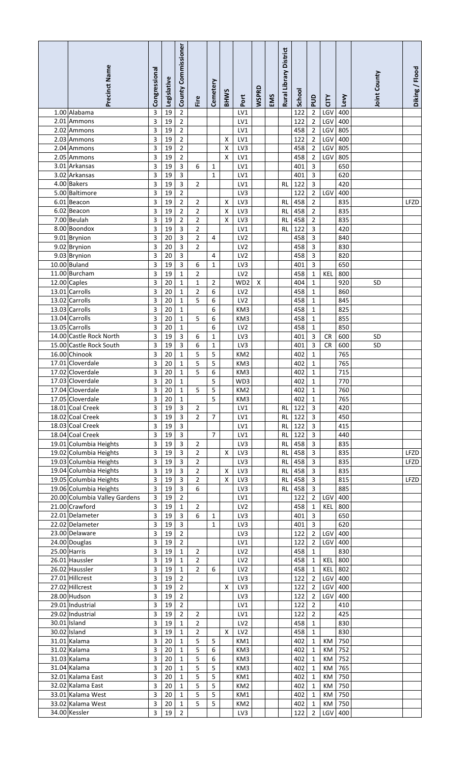| Precinct Name                                    | Congressional | Legislative | County Commissioner              | Fire                             | Cemetery            | <b>BHWS</b> | Port                               | <b>WSPRD</b>       | EMS | Rural Library District | <b>School</b> | guq                                       | čΕ         | Levy       | Joint County | Diking / Flood |
|--------------------------------------------------|---------------|-------------|----------------------------------|----------------------------------|---------------------|-------------|------------------------------------|--------------------|-----|------------------------|---------------|-------------------------------------------|------------|------------|--------------|----------------|
| 1.00 Alabama                                     | 3             | 19          | $\overline{a}$                   |                                  |                     |             | LV1                                |                    |     |                        | 122           | $\overline{2}$                            | LGV        | 400        |              |                |
| 2.01 Ammons                                      | 3             | 19          | $\overline{\mathbf{c}}$          |                                  |                     |             | LV1                                |                    |     |                        | 122           | $\overline{2}$                            | LGV        | 400        |              |                |
| 2.02 Ammons                                      | 3             | 19          | $\overline{2}$                   |                                  |                     |             | LV1                                |                    |     |                        | 458           | $\overline{2}$                            | LGV        | 805        |              |                |
| 2.03 Ammons<br>2.04 Ammons                       | 3<br>3        | 19<br>19    | $\overline{2}$<br>$\overline{2}$ |                                  |                     | X<br>X      | LV1<br>LV3                         |                    |     |                        | 122<br>458    | $\overline{2}$<br>$\overline{2}$          | LGV<br>LGV | 400<br>805 |              |                |
| 2.05 Ammons                                      | 3             | 19          | $\overline{2}$                   |                                  |                     | X           | LV1                                |                    |     |                        | 458           | $\overline{2}$                            | LGV        | 805        |              |                |
| 3.01 Arkansas                                    | 3             | 19          | 3                                | 6                                | $\mathbf 1$         |             | LV1                                |                    |     |                        | 401           | 3                                         |            | 650        |              |                |
| 3.02 Arkansas                                    | 3             | 19          | 3                                |                                  | $\mathbf{1}$        |             | LV1                                |                    |     |                        | 401           | 3                                         |            | 620        |              |                |
| 4.00 Bakers<br>5.00 Baltimore                    | 3<br>3        | 19<br>19    | 3<br>$\overline{2}$              | $\overline{2}$                   |                     |             | LV1<br>LV3                         |                    |     | <b>RL</b>              | 122<br>122    | $\overline{3}$<br>$\overline{2}$          | LGV        | 420<br>400 |              |                |
| 6.01 Beacon                                      | 3             | 19          | $\overline{2}$                   | 2                                |                     | X           | LV3                                |                    |     | <b>RL</b>              | 458           | $\overline{2}$                            |            | 835        |              | LFZD           |
| 6.02 Beacon                                      | 3             | 19          | 2                                | 2                                |                     | Χ           | LV3                                |                    |     | <b>RL</b>              | 458           | $\overline{2}$                            |            | 835        |              |                |
| 7.00 Beulah                                      | 3             | 19          | $\overline{2}$                   | $\overline{2}$                   |                     | X           | LV3                                |                    |     | <b>RL</b>              | 458           | $\overline{2}$                            |            | 835        |              |                |
| 8.00 Boondox<br>9.01 Brynion                     | 3<br>3        | 19<br>20    | $\mathbf{3}$<br>3                | $\overline{2}$<br>2              | 4                   |             | LV1<br>LV <sub>2</sub>             |                    |     | <b>RL</b>              | 122<br>458    | 3<br>3                                    |            | 420<br>840 |              |                |
| 9.02 Brynion                                     | 3             | 20          | $\mathbf{3}$                     | 2                                |                     |             | LV <sub>2</sub>                    |                    |     |                        | 458           | 3                                         |            | 830        |              |                |
| 9.03 Brynion                                     | 3             | 20          | $\overline{3}$                   |                                  | 4                   |             | LV <sub>2</sub>                    |                    |     |                        | 458           | 3                                         |            | 820        |              |                |
| 10.00 Buland                                     | 3             | 19          | $\overline{3}$                   | 6                                | 1                   |             | LV3                                |                    |     |                        | 401           | 3                                         |            | 650        |              |                |
| 11.00 Burcham<br>$\overline{12.00}$ Caples       | 3<br>3        | 19<br>20    | 1<br>$\mathbf{1}$                | 2<br>1                           | $\overline{2}$      |             | LV <sub>2</sub><br>WD <sub>2</sub> | $\pmb{\mathsf{X}}$ |     |                        | 458<br>404    | 1<br>$\mathbf 1$                          | <b>KEL</b> | 800<br>920 | <b>SD</b>    |                |
| 13.01 Carrolls                                   | 3             | 20          | $\mathbf{1}$                     | $\overline{2}$                   | 6                   |             | LV <sub>2</sub>                    |                    |     |                        | 458           | $\mathbf 1$                               |            | 860        |              |                |
| 13.02 Carrolls                                   | 3             | 20          | $\mathbf{1}$                     | 5                                | 6                   |             | LV <sub>2</sub>                    |                    |     |                        | 458           | $\mathbf 1$                               |            | 845        |              |                |
| 13.03 Carrolls                                   | 3             | 20          | $\mathbf{1}$                     |                                  | 6                   |             | KM3                                |                    |     |                        | 458           | $\mathbf{1}$                              |            | 825        |              |                |
| 13.04 Carrolls                                   | 3             | 20          | 1                                | 5                                | 6                   |             | KM3                                |                    |     |                        | 458           | $\mathbf 1$                               |            | 855        |              |                |
| 13.05 Carrolls<br>14.00 Castle Rock North        | 3<br>3        | 20<br>19    | $\mathbf{1}$<br>3                | 6                                | 6<br>$\mathbf 1$    |             | LV <sub>2</sub><br>LV3             |                    |     |                        | 458<br>401    | $\mathbf{1}$<br>$\overline{3}$            | <b>CR</b>  | 850<br>600 | SD           |                |
| 15.00 Castle Rock South                          | 3             | 19          | 3                                | 6                                | $\mathbf{1}$        |             | LV3                                |                    |     |                        | 401           | 3                                         | <b>CR</b>  | 600        | SD           |                |
| 16.00 Chinook                                    | 3             | 20          | $\mathbf 1$                      | 5                                | 5                   |             | KM <sub>2</sub>                    |                    |     |                        | 402           | $\mathbf 1$                               |            | 765        |              |                |
| 17.01 Cloverdale                                 | 3             | 20          | $\mathbf 1$                      | 5                                | 5                   |             | KM3                                |                    |     |                        | 402           | $\mathbf{1}$                              |            | 765        |              |                |
| 17.02 Cloverdale<br>17.03 Cloverdale             | 3<br>3        | 20<br>20    | $\mathbf 1$<br>$\overline{1}$    | 5                                | 6<br>$\overline{5}$ |             | KM3<br>WD3                         |                    |     |                        | 402<br>402    | $\,1\,$<br>$\overline{1}$                 |            | 715<br>770 |              |                |
| 17.04 Cloverdale                                 | 3             | 20          | $\mathbf{1}$                     | 5                                | 5                   |             | KM <sub>2</sub>                    |                    |     |                        | 402           | 1                                         |            | 760        |              |                |
| 17.05 Cloverdale                                 | 3             | 20          | $\mathbf{1}$                     |                                  | 5                   |             | KM3                                |                    |     |                        | 402           | $\mathbf{1}$                              |            | 765        |              |                |
| 18.01 Coal Creek                                 | 3             | 19          | $\overline{3}$                   | $\overline{2}$                   |                     |             | LV1                                |                    |     | RL                     | 122           | $\overline{\mathbf{3}}$                   |            | 420        |              |                |
| 18.02 Coal Creek                                 | 3             | 19          | 3                                | $\overline{2}$                   | $\overline{7}$      |             | LV1                                |                    |     | <b>RL</b>              | 122           | $\overline{3}$                            |            | 450        |              |                |
| 18.03 Coal Creek<br>18.04 Coal Creek             | 3<br>3        | 19<br>19    | 3<br>3                           |                                  | $\overline{7}$      |             | LV1<br>LV1                         |                    |     | <b>RL</b><br><b>RL</b> | 122<br>122    | $\overline{3}$<br>$\overline{3}$          |            | 415<br>440 |              |                |
| 19.01 Columbia Heights                           | 3             | 19          | 3                                | $\overline{2}$                   |                     |             | LV3                                |                    |     | <b>RL</b>              | 458           | $\overline{3}$                            |            | 835        |              |                |
| 19.02 Columbia Heights                           | 3             | 19          | 3                                | $\overline{2}$                   |                     | X           | LV3                                |                    |     | <b>RL</b>              | 458           | $\overline{\mathbf{3}}$                   |            | 835        |              | LFZD           |
| 19.03 Columbia Heights                           | 3             | 19          | 3                                | $\overline{2}$                   |                     |             | LV3                                |                    |     | <b>RL</b>              | 458           | $\overline{\mathbf{3}}$                   |            | 835        |              | LFZD           |
| 19.04 Columbia Heights<br>19.05 Columbia Heights | 3<br>3        | 19<br>19    | 3<br>3                           | $\overline{2}$<br>$\overline{2}$ |                     | X<br>X      | LV3<br>LV3                         |                    |     | <b>RL</b><br><b>RL</b> | 458<br>458    | $\overline{3}$<br>$\overline{\mathbf{3}}$ |            | 835<br>815 |              | LFZD           |
| 19.06 Columbia Heights                           | 3             | 19          | 3                                | 6                                |                     |             | LV3                                |                    |     | <b>RL</b>              | 458           | $\overline{3}$                            |            | 885        |              |                |
| 20.00 Columbia Valley Gardens                    | 3             | 19          | 2                                |                                  |                     |             | LV1                                |                    |     |                        | 122           | $\overline{2}$                            | LGV        | 400        |              |                |
| 21.00 Crawford                                   | 3             | 19          | $\mathbf{1}$                     | $\overline{2}$                   |                     |             | LV <sub>2</sub>                    |                    |     |                        | 458           | 1                                         | KEL        | 800        |              |                |
| 22.01 Delameter<br>22.02 Delameter               | 3<br>3        | 19<br>19    | 3<br>$\overline{\mathbf{3}}$     | 6                                | 1<br>1              |             | LV3<br>LV3                         |                    |     |                        | 401<br>401    | 3<br>3                                    |            | 650<br>620 |              |                |
| 23.00 Delaware                                   | 3             | 19          | $\overline{2}$                   |                                  |                     |             | LV3                                |                    |     |                        | 122           | $\overline{2}$                            | LGV        | 400        |              |                |
| 24.00 Douglas                                    | 3             | 19          | $\overline{2}$                   |                                  |                     |             | LV1                                |                    |     |                        | 122           | $\overline{2}$                            | LGV        | 400        |              |                |
| 25.00 Harris                                     | 3             | 19          | $\mathbf{1}$                     | $\overline{2}$                   |                     |             | LV <sub>2</sub>                    |                    |     |                        | 458           | 1                                         |            | 830        |              |                |
| 26.01 Haussler<br>26.02 Haussler                 | 3<br>3        | 19<br>19    | 1<br>1                           | $\overline{2}$<br>$\overline{2}$ | 6                   |             | LV <sub>2</sub><br>LV <sub>2</sub> |                    |     |                        | 458<br>458    | 1<br>$\mathbf{1}$                         | KEL<br>KEL | 800<br>802 |              |                |
| 27.01 Hillcrest                                  | 3             | 19          | $\overline{2}$                   |                                  |                     |             | LV3                                |                    |     |                        | 122           | $\overline{2}$                            | LGV        | 400        |              |                |
| 27.02 Hillcrest                                  | 3             | 19          | $\overline{2}$                   |                                  |                     | X           | LV3                                |                    |     |                        | 122           | $\overline{2}$                            | LGV        | 400        |              |                |
| 28.00 Hudson                                     | 3             | 19          | $\overline{2}$                   |                                  |                     |             | LV3                                |                    |     |                        | 122           | $\overline{2}$                            | LGV        | 400        |              |                |
| 29.01 Industrial<br>29.02 Industrial             | 3<br>3        | 19<br>19    | $\overline{2}$<br>$\overline{2}$ | $\overline{2}$                   |                     |             | LV1<br>LV1                         |                    |     |                        | 122<br>122    | $\overline{2}$<br>$\overline{2}$          |            | 410<br>425 |              |                |
| 30.01 Island                                     | 3             | 19          | $\mathbf{1}$                     | $\overline{2}$                   |                     |             | LV <sub>2</sub>                    |                    |     |                        | 458           | $\mathbf{1}$                              |            | 830        |              |                |
| 30.02 Island                                     | 3             | 19          | $\mathbf{1}$                     | $\overline{2}$                   |                     | X           | LV <sub>2</sub>                    |                    |     |                        | 458           | $\mathbf{1}$                              |            | 830        |              |                |
| 31.01 Kalama                                     | 3             | 20          | $\mathbf{1}$                     | 5                                | 5                   |             | KM1                                |                    |     |                        | 402           | $\mathbf{1}$                              | KM         | 750        |              |                |
| 31.02 Kalama<br>31.03 Kalama                     | 3<br>3        | 20<br>20    | $\mathbf{1}$<br>$\mathbf 1$      | 5<br>5                           | 6<br>6              |             | KM3<br>KM3                         |                    |     |                        | 402<br>402    | $\mathbf{1}$<br>$\mathbf{1}$              | KM<br>KM   | 752<br>752 |              |                |
| 31.04 Kalama                                     | 3             | 20          | $\mathbf{1}$                     | 5                                | 5                   |             | KM3                                |                    |     |                        | 402           | $\mathbf{1}$                              | KM         | 765        |              |                |
| 32.01 Kalama East                                | 3             | 20          | $\mathbf{1}$                     | 5                                | 5                   |             | KM1                                |                    |     |                        | 402           | $\mathbf{1}$                              | KM         | 750        |              |                |
| 32.02 Kalama East                                | 3             | 20          | $\mathbf{1}$                     | 5                                | 5                   |             | KM <sub>2</sub>                    |                    |     |                        | 402           | $\mathbf{1}$                              | KM         | 750        |              |                |
| 33.01 Kalama West<br>33.02 Kalama West           | 3<br>3        | 20<br>20    | $\mathbf{1}$<br>$\mathbf{1}$     | 5<br>5                           | 5<br>5              |             | KM1<br>KM <sub>2</sub>             |                    |     |                        | 402<br>402    | $\mathbf{1}$<br>1                         | KM<br>KM   | 750<br>750 |              |                |
| 34.00 Kessler                                    | 3             | 19          | $\overline{2}$                   |                                  |                     |             | LV3                                |                    |     |                        | 122           | $\overline{2}$                            | LGV        | 400        |              |                |
|                                                  |               |             |                                  |                                  |                     |             |                                    |                    |     |                        |               |                                           |            |            |              |                |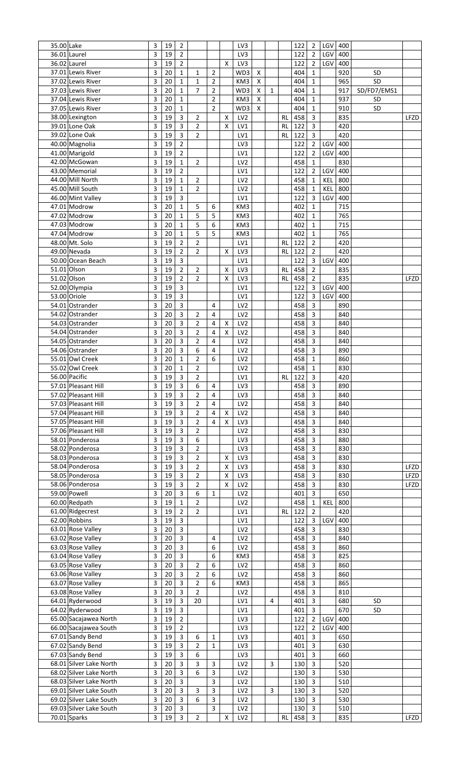| 35.00 Lake |                         | 3 | 19 | $\overline{2}$          |                |                |                    | LV3             |                    |              |           | 122 | $\overline{2}$ | LGV | 400 |             |      |
|------------|-------------------------|---|----|-------------------------|----------------|----------------|--------------------|-----------------|--------------------|--------------|-----------|-----|----------------|-----|-----|-------------|------|
|            | 36.01 Laurel            | 3 | 19 | $\overline{2}$          |                |                |                    | LV3             |                    |              |           | 122 | $\overline{2}$ | LGV | 400 |             |      |
|            | 36.02 Laurel            | 3 | 19 | $\overline{2}$          |                |                | X                  | LV3             |                    |              |           | 122 | $\overline{2}$ | LGV | 400 |             |      |
|            | 37.01 Lewis River       | 3 | 20 | $\mathbf{1}$            | 1              | $\overline{2}$ |                    | WD3             | $\pmb{\mathsf{X}}$ |              |           | 404 | $\mathbf{1}$   |     | 920 | SD          |      |
|            | 37.02 Lewis River       | 3 | 20 | $\mathbf{1}$            | $\mathbf{1}$   | $\overline{2}$ |                    | KM3             | X                  |              |           | 404 | $\mathbf{1}$   |     | 965 | SD          |      |
|            |                         |   |    |                         |                |                |                    |                 |                    |              |           |     |                |     |     |             |      |
|            | 37.03 Lewis River       | 3 | 20 | $\mathbf{1}$            | $\overline{7}$ | $\overline{2}$ |                    | WD3             | $\mathsf X$        | $\mathbf{1}$ |           | 404 | $\mathbf 1$    |     | 917 | SD/FD7/EMS1 |      |
|            | 37.04 Lewis River       | 3 | 20 | $\mathbf{1}$            |                | $\overline{2}$ |                    | KM3             | $\pmb{\times}$     |              |           | 404 | $\mathbf{1}$   |     | 937 | SD          |      |
|            | 37.05 Lewis River       | 3 | 20 | $\mathbf{1}$            |                | $\overline{2}$ |                    | WD3             | $\pmb{\times}$     |              |           | 404 | $\mathbf{1}$   |     | 910 | SD          |      |
|            | 38.00 Lexington         | 3 | 19 | 3                       | $\overline{2}$ |                | X                  | LV <sub>2</sub> |                    |              | <b>RL</b> | 458 | $\mathsf{3}$   |     | 835 |             | LFZD |
|            | 39.01 Lone Oak          | 3 | 19 | $\overline{3}$          | $\overline{2}$ |                | X                  | LV1             |                    |              | <b>RL</b> | 122 | 3              |     | 420 |             |      |
|            | 39.02 Lone Oak          | 3 | 19 | $\overline{3}$          | $\overline{2}$ |                |                    | LV1             |                    |              | <b>RL</b> | 122 | $\overline{3}$ |     | 420 |             |      |
|            |                         |   |    |                         |                |                |                    |                 |                    |              |           |     |                |     |     |             |      |
|            | 40.00 Magnolia          | 3 | 19 | $\overline{2}$          |                |                |                    | LV3             |                    |              |           | 122 | $\overline{2}$ | LGV | 400 |             |      |
|            | 41.00 Marigold          | 3 | 19 | $\overline{2}$          |                |                |                    | LV1             |                    |              |           | 122 | $\overline{2}$ | LGV | 400 |             |      |
|            | 42.00 McGowan           | 3 | 19 | $\mathbf{1}$            | $\overline{2}$ |                |                    | LV <sub>2</sub> |                    |              |           | 458 | $\mathbf 1$    |     | 830 |             |      |
|            | 43.00 Memorial          | 3 | 19 | $\overline{2}$          |                |                |                    | LV1             |                    |              |           | 122 | $\overline{2}$ | LGV | 400 |             |      |
|            | 44.00 Mill North        | 3 | 19 | $\mathbf{1}$            | $\overline{2}$ |                |                    | LV <sub>2</sub> |                    |              |           | 458 | $\mathbf 1$    | KEL | 800 |             |      |
|            | 45.00 Mill South        | 3 | 19 | $\mathbf{1}$            | $\overline{2}$ |                |                    | LV <sub>2</sub> |                    |              |           | 458 | $\mathbf{1}$   | KEL | 800 |             |      |
|            |                         |   |    |                         |                |                |                    |                 |                    |              |           |     |                |     |     |             |      |
|            | 46.00 Mint Valley       | 3 | 19 | $\overline{3}$          |                |                |                    | LV1             |                    |              |           | 122 | 3              | LGV | 400 |             |      |
|            | 47.01 Modrow            | 3 | 20 | $\mathbf{1}$            | 5              | 6              |                    | KM3             |                    |              |           | 402 | $\mathbf{1}$   |     | 715 |             |      |
|            | 47.02 Modrow            | 3 | 20 | $\mathbf{1}$            | 5              | 5              |                    | KM3             |                    |              |           | 402 | $\mathbf{1}$   |     | 765 |             |      |
|            | 47.03 Modrow            | 3 | 20 | 1                       | 5              | 6              |                    | KM3             |                    |              |           | 402 | $\mathbf{1}$   |     | 715 |             |      |
|            | 47.04 Modrow            | 3 | 20 | $\mathbf{1}$            | 5              | 5              |                    | KM3             |                    |              |           | 402 | $\mathbf{1}$   |     | 765 |             |      |
|            | 48.00 Mt. Solo          | 3 | 19 | $\overline{2}$          | $\overline{2}$ |                |                    | LV1             |                    |              | <b>RL</b> | 122 | $\overline{2}$ |     | 420 |             |      |
|            |                         |   |    |                         |                |                |                    |                 |                    |              |           |     |                |     |     |             |      |
|            | 49.00 Nevada            | 3 | 19 | $\overline{2}$          | $\overline{2}$ |                | X                  | LV3             |                    |              | <b>RL</b> | 122 | $\overline{2}$ |     | 420 |             |      |
|            | 50.00 Ocean Beach       | 3 | 19 | 3                       |                |                |                    | LV1             |                    |              |           | 122 | 3              | LGV | 400 |             |      |
|            | 51.01 Olson             | 3 | 19 | $\overline{2}$          | 2              |                | X                  | LV3             |                    |              | <b>RL</b> | 458 | $\overline{2}$ |     | 835 |             |      |
|            | 51.02 Olson             | 3 | 19 | $\overline{2}$          | $\overline{2}$ |                | X                  | LV3             |                    |              | <b>RL</b> | 458 | $\overline{2}$ |     | 835 |             | LFZD |
|            | 52.00 Olympia           | 3 | 19 | 3                       |                |                |                    | LV1             |                    |              |           | 122 | 3              | LGV | 400 |             |      |
|            | 53.00 Oriole            | 3 | 19 | $\overline{\mathbf{3}}$ |                |                |                    | LV1             |                    |              |           | 122 | 3              | LGV | 400 |             |      |
|            |                         |   |    |                         |                |                |                    |                 |                    |              |           |     |                |     |     |             |      |
|            | 54.01 Ostrander         | 3 | 20 | $\overline{3}$          |                | 4              |                    | LV <sub>2</sub> |                    |              |           | 458 | 3              |     | 890 |             |      |
|            | 54.02 Ostrander         | 3 | 20 | $\overline{\mathbf{3}}$ | 2              | $\overline{4}$ |                    | LV <sub>2</sub> |                    |              |           | 458 | 3              |     | 840 |             |      |
|            | 54.03 Ostrander         | 3 | 20 | $\overline{3}$          | 2              | 4              | Х                  | LV <sub>2</sub> |                    |              |           | 458 | $\overline{3}$ |     | 840 |             |      |
|            | 54.04 Ostrander         | 3 | 20 | $\overline{3}$          | 2              | $\overline{4}$ | X                  | LV <sub>2</sub> |                    |              |           | 458 | 3              |     | 840 |             |      |
|            | 54.05 Ostrander         | 3 | 20 | $\overline{3}$          | 2              | 4              |                    | LV <sub>2</sub> |                    |              |           | 458 | 3              |     | 840 |             |      |
|            | 54.06 Ostrander         | 3 | 20 | $\overline{3}$          | 6              | 4              |                    | LV <sub>2</sub> |                    |              |           | 458 | $\mathbf{3}$   |     | 890 |             |      |
|            |                         |   |    |                         |                |                |                    |                 |                    |              |           |     |                |     |     |             |      |
|            | 55.01 Owl Creek         | 3 | 20 | $\mathbf{1}$            | $\overline{2}$ | 6              |                    | LV <sub>2</sub> |                    |              |           | 458 | $\mathbf{1}$   |     | 860 |             |      |
|            | 55.02 Owl Creek         | 3 | 20 | 1                       | $\overline{2}$ |                |                    | LV <sub>2</sub> |                    |              |           | 458 | $\mathbf{1}$   |     | 830 |             |      |
|            | 56.00 Pacific           | 3 | 19 | 3                       | $\overline{2}$ |                |                    | LV1             |                    |              | RL        | 122 | $\overline{3}$ |     | 420 |             |      |
|            | 57.01 Pleasant Hill     | 3 | 19 | 3                       | 6              | 4              |                    | LV3             |                    |              |           | 458 | $\overline{3}$ |     | 890 |             |      |
|            | 57.02 Pleasant Hill     | 3 | 19 | $\overline{3}$          | $\overline{2}$ | 4              |                    | LV3             |                    |              |           | 458 | $\overline{3}$ |     | 840 |             |      |
|            | 57.03 Pleasant Hill     | 3 | 19 | $\overline{3}$          | $\overline{2}$ | 4              |                    | LV <sub>2</sub> |                    |              |           | 458 | $\mathsf{3}$   |     | 840 |             |      |
|            |                         |   |    |                         |                |                |                    |                 |                    |              |           |     |                |     |     |             |      |
|            | 57.04 Pleasant Hill     | 3 | 19 | $\overline{3}$          | $\overline{2}$ | 4              | X                  | LV <sub>2</sub> |                    |              |           | 458 | 3              |     | 840 |             |      |
|            | 57.05 Pleasant Hill     | 3 | 19 | $\overline{3}$          | 2              | 4              | $\pmb{\times}$     | LV3             |                    |              |           | 458 | $\mathsf{3}$   |     | 840 |             |      |
|            | 57.06 Pleasant Hill     | 3 | 19 | $\overline{3}$          | $\overline{2}$ |                |                    | LV <sub>2</sub> |                    |              |           | 458 | $\mathsf{3}$   |     | 830 |             |      |
|            | 58.01 Ponderosa         | 3 | 19 | 3                       | 6              |                |                    | LV3             |                    |              |           | 458 | $\mathsf{3}$   |     | 880 |             |      |
|            | 58.02 Ponderosa         | 3 | 19 | 3                       | $\overline{2}$ |                |                    | LV3             |                    |              |           | 458 | 3              |     | 830 |             |      |
|            | 58.03 Ponderosa         | 3 | 19 | 3                       | $\overline{2}$ |                | X                  | LV3             |                    |              |           | 458 | $\mathsf{3}$   |     | 830 |             |      |
|            |                         |   |    |                         |                |                |                    |                 |                    |              |           |     |                |     |     |             |      |
|            | 58.04 Ponderosa         | 3 | 19 | 3                       | $\overline{2}$ |                | X                  | LV3             |                    |              |           | 458 | $\overline{3}$ |     | 830 |             | LFZD |
|            | 58.05 Ponderosa         | 3 | 19 | 3                       | $\overline{2}$ |                | $\pmb{\mathsf{X}}$ | LV3             |                    |              |           | 458 | 3              |     | 830 |             | LFZD |
|            | 58.06 Ponderosa         | 3 | 19 | 3                       | 2              |                | $\pmb{\mathsf{X}}$ | LV <sub>2</sub> |                    |              |           | 458 | 3              |     | 830 |             | LFZD |
|            | 59.00 Powell            | 3 | 20 | $\overline{3}$          | 6              | $\mathbf{1}$   |                    | LV <sub>2</sub> |                    |              |           | 401 | $\overline{3}$ |     | 650 |             |      |
|            | 60.00 Redpath           | 3 | 19 | $\mathbf{1}$            | 2              |                |                    | LV <sub>2</sub> |                    |              |           | 458 | $\mathbf{1}$   | KEL | 800 |             |      |
|            | 61.00 Ridgecrest        | 3 | 19 | $\overline{2}$          | $\overline{2}$ |                |                    | LV1             |                    |              | <b>RL</b> | 122 | $\overline{2}$ |     | 420 |             |      |
|            | 62.00 Robbins           | 3 |    | 3                       |                |                |                    |                 |                    |              |           |     |                | LGV |     |             |      |
|            |                         |   | 19 |                         |                |                |                    | LV1             |                    |              |           | 122 | 3              |     | 400 |             |      |
|            | 63.01 Rose Valley       | 3 | 20 | $\overline{3}$          |                |                |                    | LV <sub>2</sub> |                    |              |           | 458 | 3              |     | 830 |             |      |
|            | 63.02 Rose Valley       | 3 | 20 | 3                       |                | 4              |                    | LV <sub>2</sub> |                    |              |           | 458 | 3              |     | 840 |             |      |
|            | 63.03 Rose Valley       | 3 | 20 | $\overline{3}$          |                | 6              |                    | LV <sub>2</sub> |                    |              |           | 458 | 3              |     | 860 |             |      |
|            | 63.04 Rose Valley       | 3 | 20 | $\overline{3}$          |                | 6              |                    | KM3             |                    |              |           | 458 | 3              |     | 825 |             |      |
|            | 63.05 Rose Valley       | 3 | 20 | $\overline{3}$          | 2              | 6              |                    | LV <sub>2</sub> |                    |              |           | 458 | 3              |     | 860 |             |      |
|            | 63.06 Rose Valley       | 3 | 20 | $\overline{3}$          | 2              | 6              |                    | LV <sub>2</sub> |                    |              |           | 458 | 3              |     | 860 |             |      |
|            |                         |   |    |                         |                |                |                    |                 |                    |              |           |     |                |     |     |             |      |
|            | 63.07 Rose Valley       | 3 | 20 | $\overline{3}$          | 2              | 6              |                    | KM3             |                    |              |           | 458 | 3              |     | 865 |             |      |
|            | 63.08 Rose Valley       | 3 | 20 | $\overline{3}$          | 2              |                |                    | LV <sub>2</sub> |                    |              |           | 458 | 3              |     | 810 |             |      |
|            | 64.01 Ryderwood         | 3 | 19 | 3                       | 20             |                |                    | LV1             |                    | 4            |           | 401 | 3              |     | 680 | SD          |      |
|            | 64.02 Ryderwood         | 3 | 19 | $\overline{\mathbf{3}}$ |                |                |                    | LV1             |                    |              |           | 401 | 3              |     | 670 | SD          |      |
|            | 65.00 Sacajawea North   | 3 | 19 | $\overline{2}$          |                |                |                    | LV3             |                    |              |           | 122 | $\overline{2}$ | LGV | 400 |             |      |
|            | 66.00 Sacajawea South   | 3 | 19 | $\overline{2}$          |                |                |                    | LV3             |                    |              |           | 122 | $\overline{2}$ | LGV | 400 |             |      |
|            | 67.01 Sandy Bend        | 3 | 19 | $\overline{3}$          |                |                |                    |                 |                    |              |           | 401 | 3              |     | 650 |             |      |
|            |                         |   |    |                         | 6              | 1              |                    | LV3             |                    |              |           |     |                |     |     |             |      |
|            | 67.02 Sandy Bend        | 3 | 19 | 3                       | 2              | 1              |                    | LV3             |                    |              |           | 401 | 3              |     | 630 |             |      |
|            | 67.03 Sandy Bend        | 3 | 19 | $\overline{3}$          | 6              |                |                    | LV3             |                    |              |           | 401 | $\overline{3}$ |     | 660 |             |      |
|            | 68.01 Silver Lake North | 3 | 20 | $\overline{3}$          | 3              | 3              |                    | LV <sub>2</sub> |                    | 3            |           | 130 | $\mathsf{3}$   |     | 520 |             |      |
|            | 68.02 Silver Lake North | 3 | 20 | 3                       | 6              | 3              |                    | LV <sub>2</sub> |                    |              |           | 130 | $\overline{3}$ |     | 530 |             |      |
|            | 68.03 Silver Lake North | 3 | 20 | $\overline{3}$          |                | 3              |                    | LV <sub>2</sub> |                    |              |           | 130 | $\mathsf{3}$   |     | 510 |             |      |
|            | 69.01 Silver Lake South | 3 | 20 | $\overline{3}$          | 3              | 3              |                    | LV <sub>2</sub> |                    | 3            |           | 130 | $\mathsf{3}$   |     | 520 |             |      |
|            |                         |   |    |                         |                |                |                    |                 |                    |              |           |     |                |     |     |             |      |
|            | 69.02 Silver Lake South | 3 | 20 | 3                       | 6              | 3              |                    | LV <sub>2</sub> |                    |              |           | 130 | $\mathsf{3}$   |     | 530 |             |      |
|            | 69.03 Silver Lake South | 3 | 20 | 3                       |                | 3              |                    | LV <sub>2</sub> |                    |              |           | 130 | 3              |     | 510 |             |      |
|            | 70.01 Sparks            | 3 | 19 | 3                       | 2              |                | X                  | LV <sub>2</sub> |                    |              | RL        | 458 | 3              |     | 835 |             | LFZD |